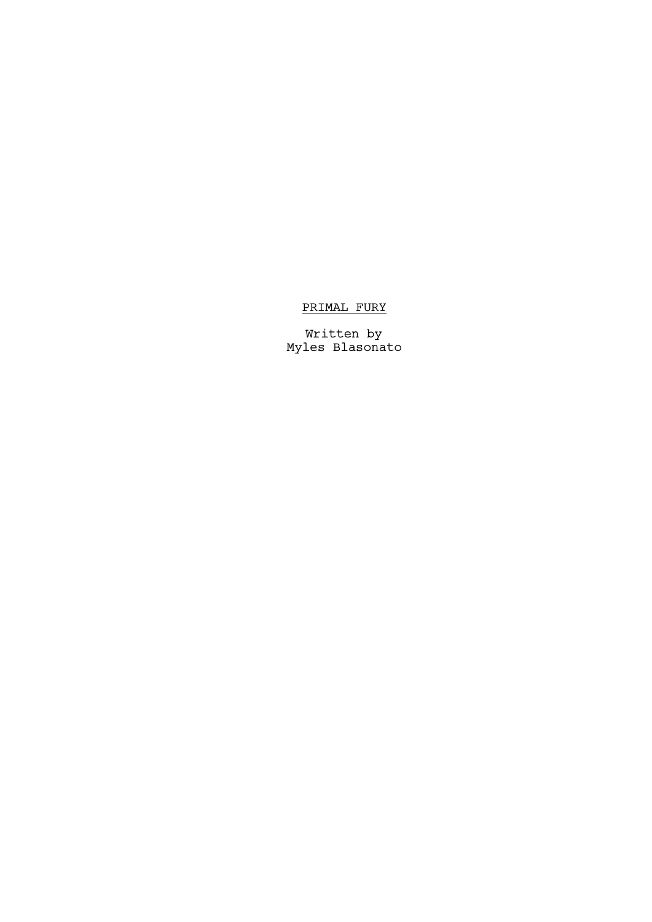## PRIMAL FURY

Written by Myles Blasonato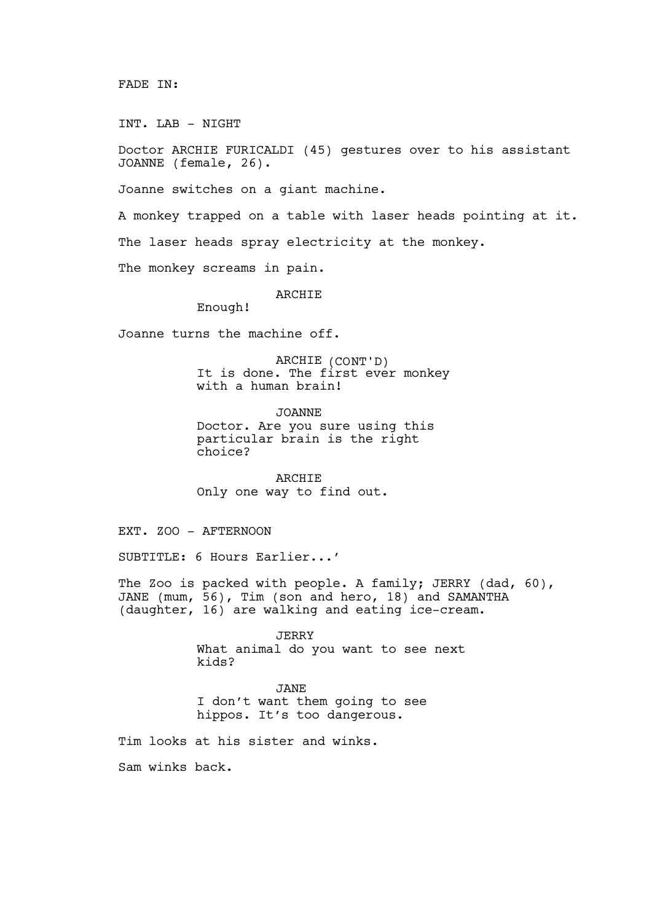FADE IN:

INT. LAB - NIGHT

Doctor ARCHIE FURICALDI (45) gestures over to his assistant JOANNE (female, 26).

Joanne switches on a giant machine.

A monkey trapped on a table with laser heads pointing at it. The laser heads spray electricity at the monkey.

The monkey screams in pain.

## ARCHIE

Enough!

Joanne turns the machine off.

ARCHIE (CONT'D) It is done. The first ever monkey with a human brain!

JOANNE Doctor. Are you sure using this particular brain is the right choice?

**ARCHIE** Only one way to find out.

EXT. ZOO - AFTERNOON

SUBTITLE: 6 Hours Earlier...'

The Zoo is packed with people. A family; JERRY (dad, 60), JANE (mum, 56), Tim (son and hero, 18) and SAMANTHA (daughter, 16) are walking and eating ice-cream.

> **JERRY** What animal do you want to see next kids?

JANE I don't want them going to see hippos. It's too dangerous.

Tim looks at his sister and winks.

Sam winks back.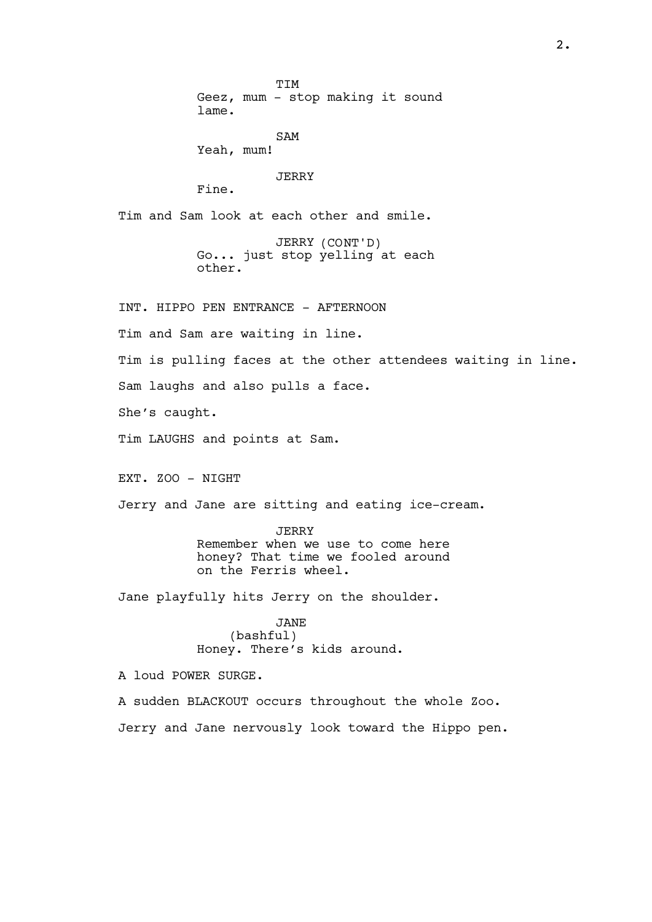**TTM** Geez, mum - stop making it sound lame. SAM Yeah, mum! JERRY Fine. Tim and Sam look at each other and smile. JERRY (CONT'D) Go... just stop yelling at each other. INT. HIPPO PEN ENTRANCE - AFTERNOON Tim and Sam are waiting in line. Tim is pulling faces at the other attendees waiting in line. Sam laughs and also pulls a face. She's caught. Tim LAUGHS and points at Sam. EXT. ZOO - NIGHT Jerry and Jane are sitting and eating ice-cream. JERRY Remember when we use to come here honey? That time we fooled around on the Ferris wheel. Jane playfully hits Jerry on the shoulder. JANE (bashful) Honey. There's kids around. A loud POWER SURGE. A sudden BLACKOUT occurs throughout the whole Zoo. Jerry and Jane nervously look toward the Hippo pen.

2.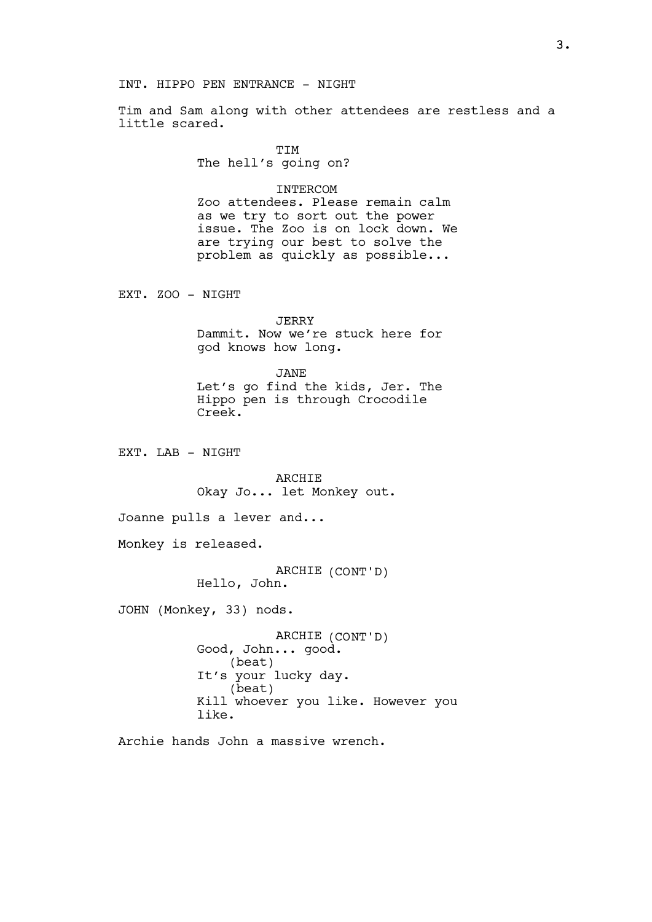## INT. HIPPO PEN ENTRANCE - NIGHT

Tim and Sam along with other attendees are restless and a little scared.

> TIM The hell's going on?

## INTERCOM

Zoo attendees. Please remain calm as we try to sort out the power issue. The Zoo is on lock down. We are trying our best to solve the problem as quickly as possible...

EXT. ZOO - NIGHT

```
JERRY
```
Dammit. Now we're stuck here for god knows how long.

JANE Let's go find the kids, Jer. The Hippo pen is through Crocodile Creek.

EXT. LAB - NIGHT

ARCHIE Okay Jo... let Monkey out.

Joanne pulls a lever and...

Monkey is released.

ARCHIE (CONT'D) Hello, John.

JOHN (Monkey, 33) nods.

ARCHIE (CONT'D) Good, John... good. (beat) It's your lucky day. (beat) Kill whoever you like. However you like.

Archie hands John a massive wrench.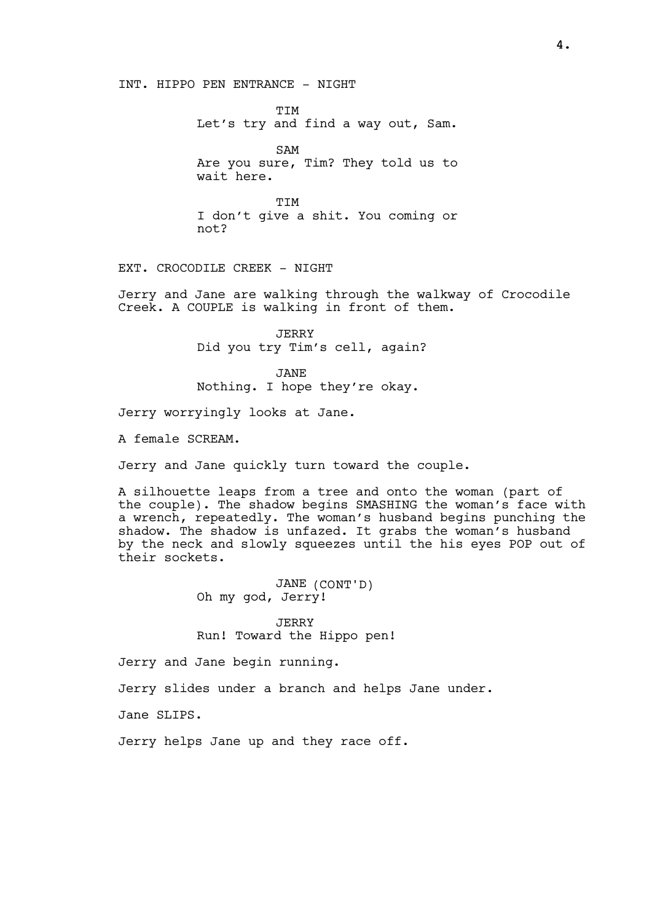INT. HIPPO PEN ENTRANCE - NIGHT

**TTM** Let's try and find a way out, Sam.

SAM Are you sure, Tim? They told us to wait here.

**TTM** I don't give a shit. You coming or not?

EXT. CROCODILE CREEK - NIGHT

Jerry and Jane are walking through the walkway of Crocodile Creek. A COUPLE is walking in front of them.

> JERRY Did you try Tim's cell, again?

JANE Nothing. I hope they're okay.

Jerry worryingly looks at Jane.

A female SCREAM.

Jerry and Jane quickly turn toward the couple.

A silhouette leaps from a tree and onto the woman (part of the couple). The shadow begins SMASHING the woman's face with a wrench, repeatedly. The woman's husband begins punching the shadow. The shadow is unfazed. It grabs the woman's husband by the neck and slowly squeezes until the his eyes POP out of their sockets.

> JANE (CONT'D) Oh my god, Jerry!

JERRY Run! Toward the Hippo pen!

Jerry and Jane begin running.

Jerry slides under a branch and helps Jane under.

Jane SLIPS.

Jerry helps Jane up and they race off.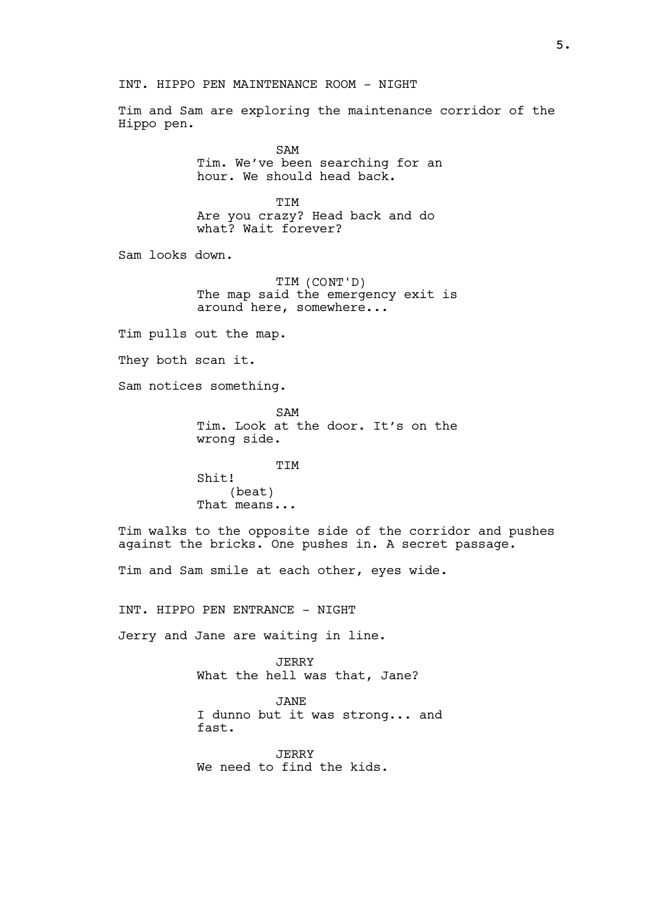INT. HIPPO PEN MAINTENANCE ROOM - NIGHT

Tim and Sam are exploring the maintenance corridor of the Hippo pen.

> SAM Tim. We've been searching for an hour. We should head back.

TIM Are you crazy? Head back and do what? Wait forever?

Sam looks down.

TIM (CONT'D) The map said the emergency exit is around here, somewhere...

Tim pulls out the map.

They both scan it.

Sam notices something.

SAM Tim. Look at the door. It's on the wrong side.

**TTM** Shit! (beat) That means...

Tim walks to the opposite side of the corridor and pushes against the bricks. One pushes in. A secret passage.

Tim and Sam smile at each other, eyes wide.

INT. HIPPO PEN ENTRANCE - NIGHT

Jerry and Jane are waiting in line.

JERRY What the hell was that, Jane?

JANE I dunno but it was strong... and fast.

JERRY We need to find the kids.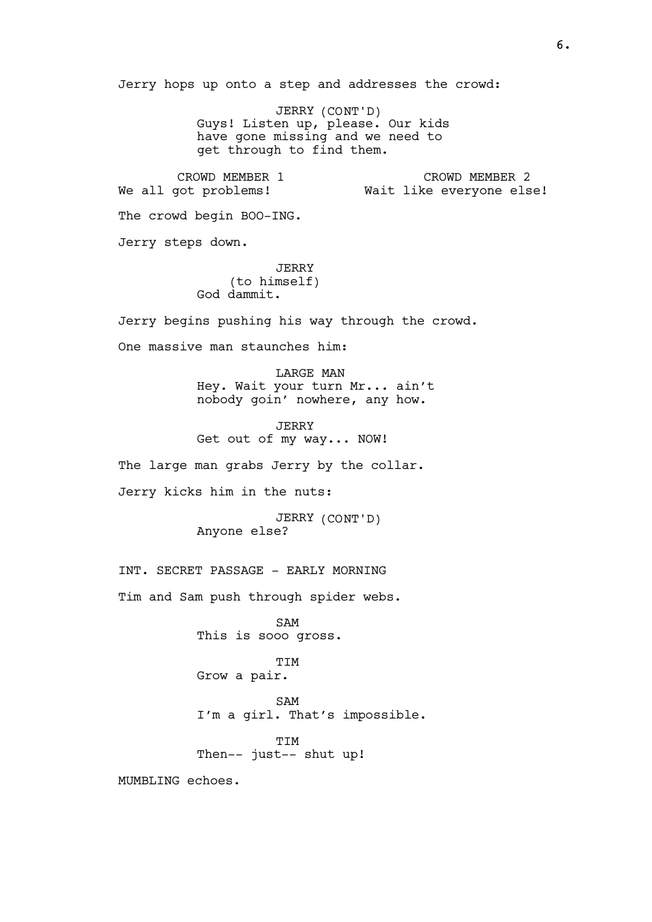Jerry hops up onto a step and addresses the crowd:

JERRY (CONT'D) Guys! Listen up, please. Our kids have gone missing and we need to get through to find them.

CROWD MEMBER 1 We all got problems! CROWD MEMBER 2 Wait like everyone else!

The crowd begin BOO-ING.

Jerry steps down.

JERRY (to himself) God dammit.

Jerry begins pushing his way through the crowd.

One massive man staunches him:

LARGE MAN Hey. Wait your turn Mr... ain't nobody goin' nowhere, any how.

JERRY Get out of my way... NOW!

The large man grabs Jerry by the collar.

Jerry kicks him in the nuts:

JERRY (CONT'D) Anyone else?

INT. SECRET PASSAGE - EARLY MORNING

Tim and Sam push through spider webs.

SAM This is sooo gross.

TIM Grow a pair.

SAM I'm a girl. That's impossible.

**TTM** Then-- just-- shut up!

MUMBLING echoes.

6.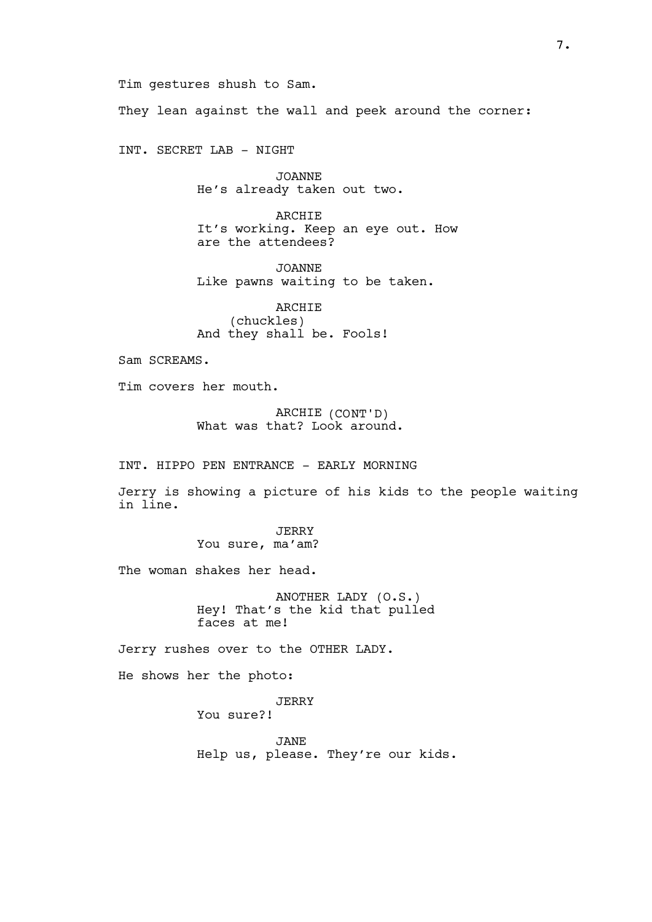Tim gestures shush to Sam. They lean against the wall and peek around the corner:

INT. SECRET LAB - NIGHT

JOANNE He's already taken out two.

ARCHIE It's working. Keep an eye out. How are the attendees?

JOANNE Like pawns waiting to be taken.

ARCHIE (chuckles) And they shall be. Fools!

Sam SCREAMS.

Tim covers her mouth.

ARCHIE (CONT'D) What was that? Look around.

INT. HIPPO PEN ENTRANCE - EARLY MORNING

Jerry is showing a picture of his kids to the people waiting in line.

> JERRY You sure, ma'am?

The woman shakes her head.

ANOTHER LADY (O.S.) Hey! That's the kid that pulled faces at me!

Jerry rushes over to the OTHER LADY.

He shows her the photo:

JERRY

You sure?!

JANE Help us, please. They're our kids.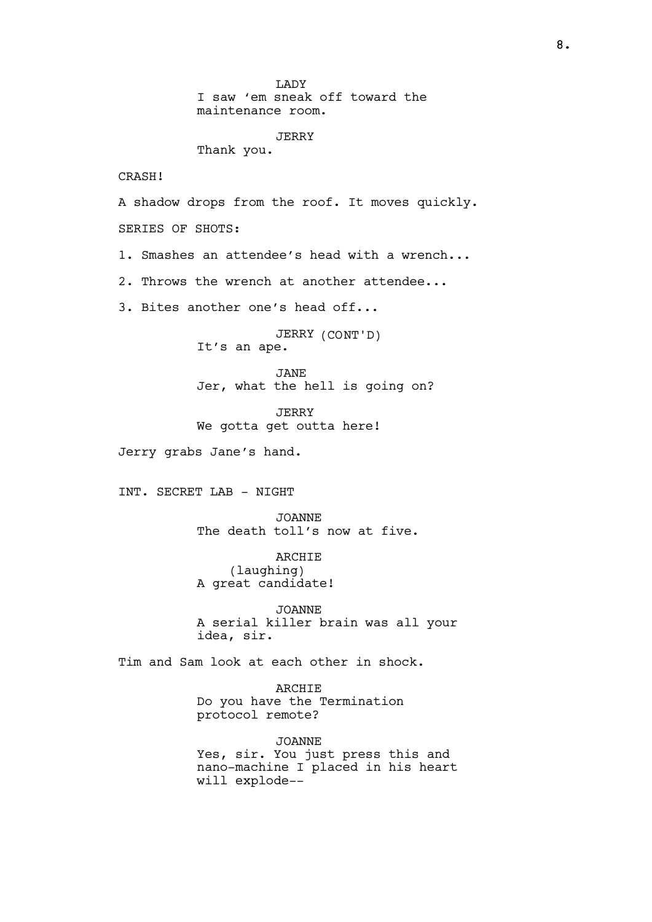**T.ADY** I saw 'em sneak off toward the maintenance room. JERRY Thank you. CRASH! A shadow drops from the roof. It moves quickly. SERIES OF SHOTS: 1. Smashes an attendee's head with a wrench... 2. Throws the wrench at another attendee... 3. Bites another one's head off... JERRY (CONT'D) It's an ape. JANE Jer, what the hell is going on? JERRY We gotta get outta here! Jerry grabs Jane's hand. INT. SECRET LAB - NIGHT JOANNE The death toll's now at five. ARCHIE (laughing) A great candidate! JOANNE A serial killer brain was all your idea, sir. Tim and Sam look at each other in shock. ARCHIE Do you have the Termination protocol remote? JOANNE Yes, sir. You just press this and nano-machine I placed in his heart will explode--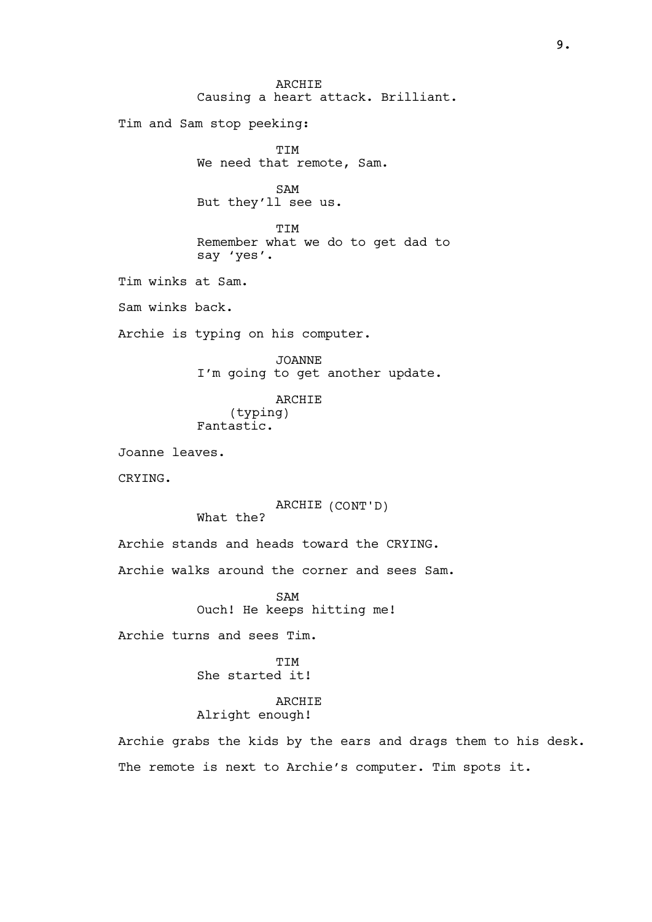**ARCHIE** Causing a heart attack. Brilliant. Tim and Sam stop peeking: TIM We need that remote, Sam. SAM But they'll see us. **TTM** Remember what we do to get dad to say 'yes'. Tim winks at Sam. Sam winks back. Archie is typing on his computer. JOANNE I'm going to get another update. ARCHIE (typing) Fantastic. Joanne leaves. CRYING. ARCHIE (CONT'D) What the? Archie stands and heads toward the CRYING. Archie walks around the corner and sees Sam. SAM Ouch! He keeps hitting me! Archie turns and sees Tim. **TTM** She started it! ARCHIE Alright enough! Archie grabs the kids by the ears and drags them to his desk.

The remote is next to Archie's computer. Tim spots it.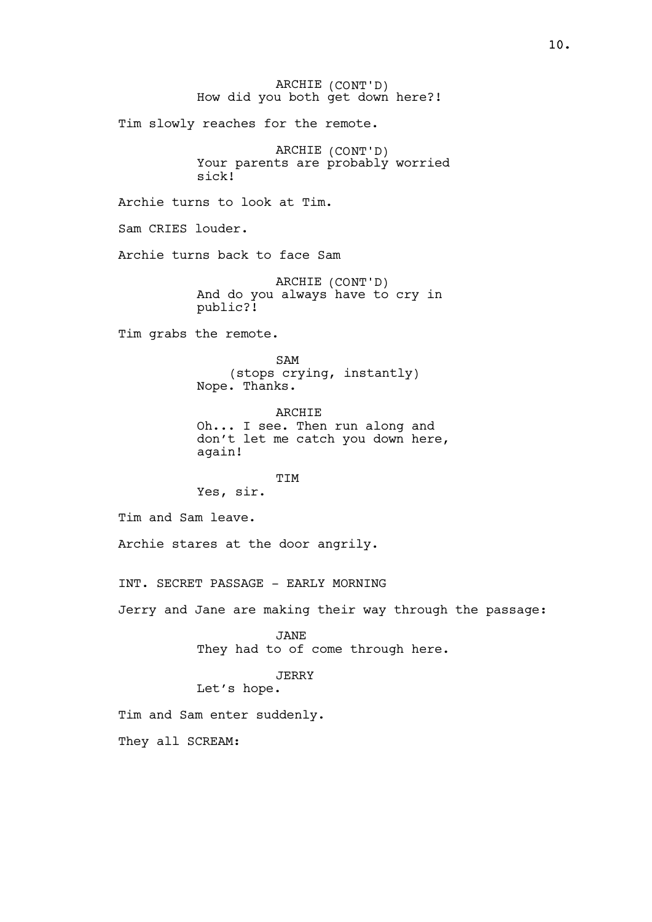ARCHIE (CONT'D) How did you both get down here?! Tim slowly reaches for the remote. ARCHIE (CONT'D) Your parents are probably worried sick! Archie turns to look at Tim. Sam CRIES louder. Archie turns back to face Sam ARCHIE (CONT'D) And do you always have to cry in public?! Tim grabs the remote. SAM (stops crying, instantly) Nope. Thanks. ARCHIE Oh... I see. Then run along and don't let me catch you down here, again! TIM Yes, sir. Tim and Sam leave. Archie stares at the door angrily. INT. SECRET PASSAGE - EARLY MORNING Jerry and Jane are making their way through the passage: JANE They had to of come through here. JERRY Let's hope. Tim and Sam enter suddenly. They all SCREAM: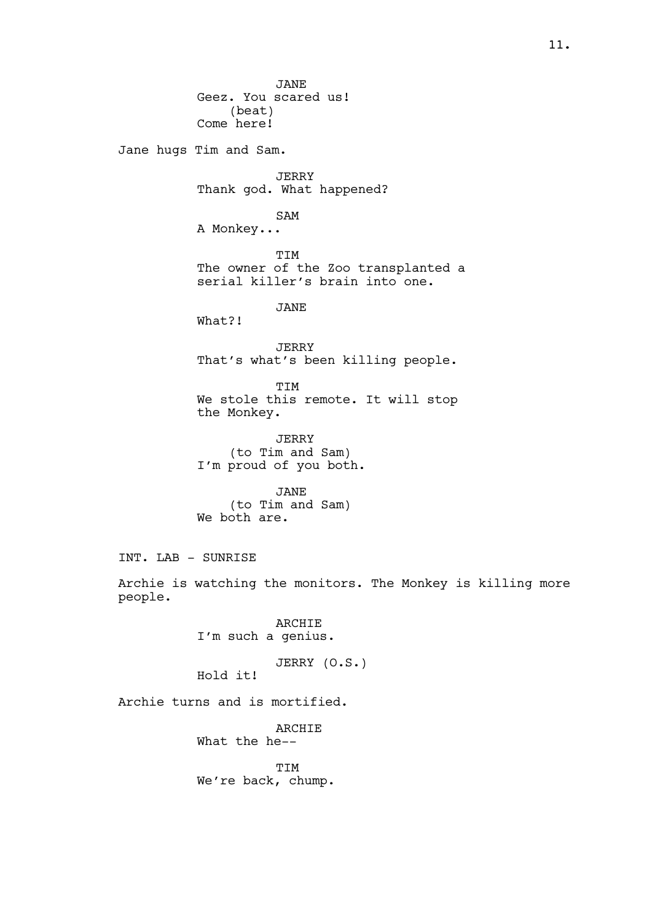JANE Geez. You scared us! (beat) Come here! Jane hugs Tim and Sam. JERRY Thank god. What happened? SAM A Monkey... TIM The owner of the Zoo transplanted a serial killer's brain into one. JANE What?! JERRY That's what's been killing people. TIM We stole this remote. It will stop the Monkey. JERRY (to Tim and Sam) I'm proud of you both. JANE (to Tim and Sam) We both are. INT. LAB - SUNRISE Archie is watching the monitors. The Monkey is killing more people. ARCHIE I'm such a genius. JERRY (O.S.) Hold it! Archie turns and is mortified. ARCHIE What the he-- TIM We're back, chump.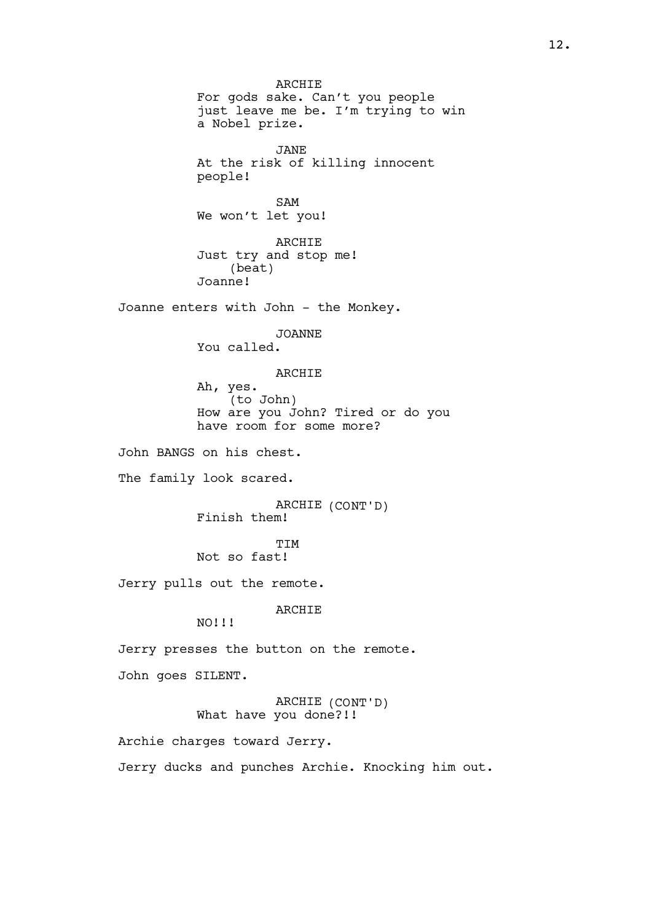**ARCHIE** For gods sake. Can't you people just leave me be. I'm trying to win a Nobel prize. JANE At the risk of killing innocent people! SAM We won't let you! ARCHIE Just try and stop me! (beat) Joanne! Joanne enters with John - the Monkey. JOANNE You called. ARCHIE Ah, yes. (to John) How are you John? Tired or do you have room for some more? John BANGS on his chest. The family look scared. ARCHIE (CONT'D) Finish them! **TTM** Not so fast! Jerry pulls out the remote. ARCHIE NO!!! Jerry presses the button on the remote. John goes SILENT. ARCHIE (CONT'D) What have you done?!! Archie charges toward Jerry. Jerry ducks and punches Archie. Knocking him out.